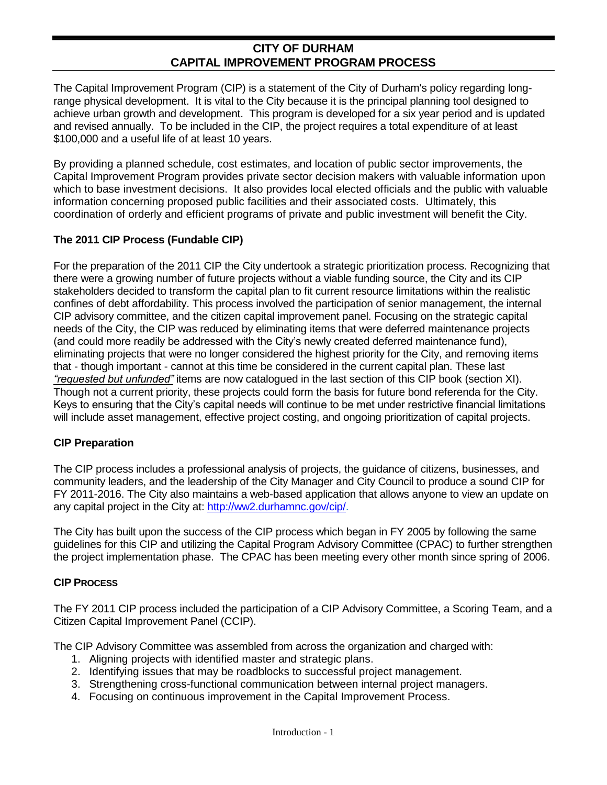## **CITY OF DURHAM CAPITAL IMPROVEMENT PROGRAM PROCESS**

The Capital Improvement Program (CIP) is a statement of the City of Durham's policy regarding longrange physical development. It is vital to the City because it is the principal planning tool designed to achieve urban growth and development. This program is developed for a six year period and is updated and revised annually. To be included in the CIP, the project requires a total expenditure of at least \$100,000 and a useful life of at least 10 years.

By providing a planned schedule, cost estimates, and location of public sector improvements, the Capital Improvement Program provides private sector decision makers with valuable information upon which to base investment decisions. It also provides local elected officials and the public with valuable information concerning proposed public facilities and their associated costs. Ultimately, this coordination of orderly and efficient programs of private and public investment will benefit the City.

## **The 2011 CIP Process (Fundable CIP)**

For the preparation of the 2011 CIP the City undertook a strategic prioritization process. Recognizing that there were a growing number of future projects without a viable funding source, the City and its CIP stakeholders decided to transform the capital plan to fit current resource limitations within the realistic confines of debt affordability. This process involved the participation of senior management, the internal CIP advisory committee, and the citizen capital improvement panel. Focusing on the strategic capital needs of the City, the CIP was reduced by eliminating items that were deferred maintenance projects (and could more readily be addressed with the City's newly created deferred maintenance fund), eliminating projects that were no longer considered the highest priority for the City, and removing items that - though important - cannot at this time be considered in the current capital plan. These last *"requested but unfunded"* items are now catalogued in the last section of this CIP book (section XI). Though not a current priority, these projects could form the basis for future bond referenda for the City. Keys to ensuring that the City's capital needs will continue to be met under restrictive financial limitations will include asset management, effective project costing, and ongoing prioritization of capital projects.

#### **CIP Preparation**

The CIP process includes a professional analysis of projects, the guidance of citizens, businesses, and community leaders, and the leadership of the City Manager and City Council to produce a sound CIP for FY 2011-2016. The City also maintains a web-based application that allows anyone to view an update on any capital project in the City at: [http://ww2.durhamnc.gov/cip/.](http://ww2.durhamnc.gov/cip/)

The City has built upon the success of the CIP process which began in FY 2005 by following the same guidelines for this CIP and utilizing the Capital Program Advisory Committee (CPAC) to further strengthen the project implementation phase. The CPAC has been meeting every other month since spring of 2006.

## **CIP PROCESS**

The FY 2011 CIP process included the participation of a CIP Advisory Committee, a Scoring Team, and a Citizen Capital Improvement Panel (CCIP).

The CIP Advisory Committee was assembled from across the organization and charged with:

- 1. Aligning projects with identified master and strategic plans.
- 2. Identifying issues that may be roadblocks to successful project management.
- 3. Strengthening cross-functional communication between internal project managers.
- 4. Focusing on continuous improvement in the Capital Improvement Process.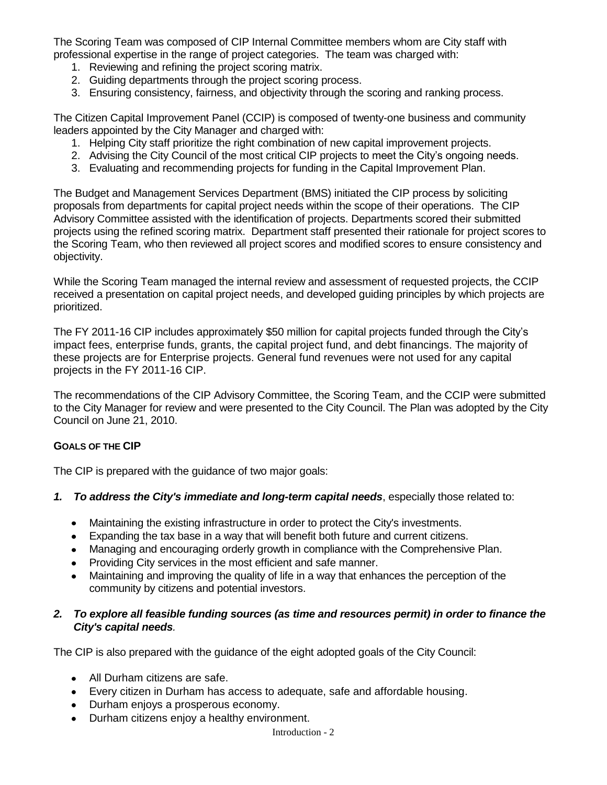The Scoring Team was composed of CIP Internal Committee members whom are City staff with professional expertise in the range of project categories. The team was charged with:

- 1. Reviewing and refining the project scoring matrix.
- 2. Guiding departments through the project scoring process.
- 3. Ensuring consistency, fairness, and objectivity through the scoring and ranking process.

The Citizen Capital Improvement Panel (CCIP) is composed of twenty-one business and community leaders appointed by the City Manager and charged with:

- 1. Helping City staff prioritize the right combination of new capital improvement projects.
- 2. Advising the City Council of the most critical CIP projects to meet the City's ongoing needs.
- 3. Evaluating and recommending projects for funding in the Capital Improvement Plan.

The Budget and Management Services Department (BMS) initiated the CIP process by soliciting proposals from departments for capital project needs within the scope of their operations. The CIP Advisory Committee assisted with the identification of projects. Departments scored their submitted projects using the refined scoring matrix. Department staff presented their rationale for project scores to the Scoring Team, who then reviewed all project scores and modified scores to ensure consistency and objectivity.

While the Scoring Team managed the internal review and assessment of requested projects, the CCIP received a presentation on capital project needs, and developed guiding principles by which projects are prioritized.

The FY 2011-16 CIP includes approximately \$50 million for capital projects funded through the City's impact fees, enterprise funds, grants, the capital project fund, and debt financings. The majority of these projects are for Enterprise projects. General fund revenues were not used for any capital projects in the FY 2011-16 CIP.

The recommendations of the CIP Advisory Committee, the Scoring Team, and the CCIP were submitted to the City Manager for review and were presented to the City Council. The Plan was adopted by the City Council on June 21, 2010.

## **GOALS OF THE CIP**

The CIP is prepared with the guidance of two major goals:

- *1. To address the City's immediate and long-term capital needs*, especially those related to:
	- Maintaining the existing infrastructure in order to protect the City's investments.
	- Expanding the tax base in a way that will benefit both future and current citizens.
	- Managing and encouraging orderly growth in compliance with the Comprehensive Plan.
	- Providing City services in the most efficient and safe manner.
	- Maintaining and improving the quality of life in a way that enhances the perception of the community by citizens and potential investors.

## *2. To explore all feasible funding sources (as time and resources permit) in order to finance the City's capital needs.*

The CIP is also prepared with the guidance of the eight adopted goals of the City Council:

- All Durham citizens are safe.
- Every citizen in Durham has access to adequate, safe and affordable housing.
- Durham enjoys a prosperous economy.
- $\bullet$ Durham citizens enjoy a healthy environment.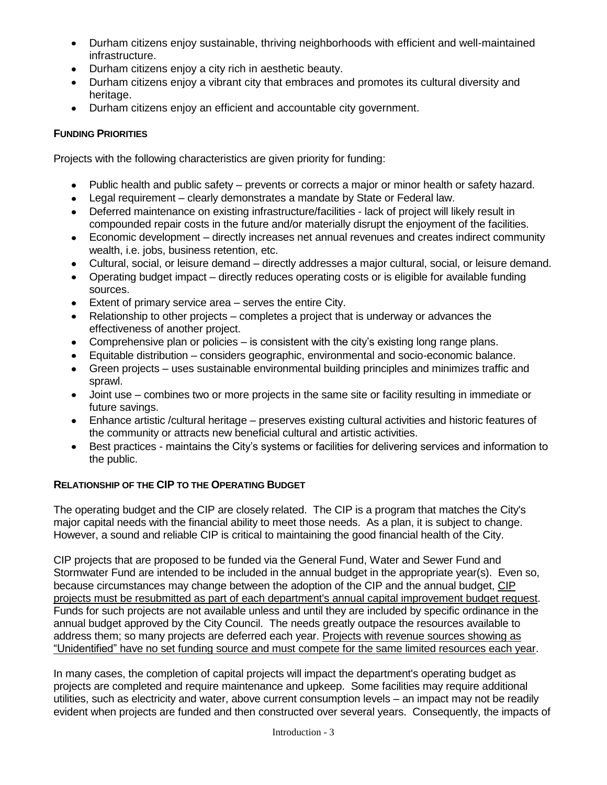- Durham citizens enjoy sustainable, thriving neighborhoods with efficient and well-maintained infrastructure.
- Durham citizens enjoy a city rich in aesthetic beauty.
- Durham citizens enjoy a vibrant city that embraces and promotes its cultural diversity and heritage.
- Durham citizens enjoy an efficient and accountable city government.

## **FUNDING PRIORITIES**

Projects with the following characteristics are given priority for funding:

- Public health and public safety prevents or corrects a major or minor health or safety hazard.
- Legal requirement clearly demonstrates a mandate by State or Federal law.
- Deferred maintenance on existing infrastructure/facilities lack of project will likely result in compounded repair costs in the future and/or materially disrupt the enjoyment of the facilities.
- Economic development directly increases net annual revenues and creates indirect community wealth, i.e. jobs, business retention, etc.
- Cultural, social, or leisure demand directly addresses a major cultural, social, or leisure demand.
- Operating budget impact directly reduces operating costs or is eligible for available funding sources.
- Extent of primary service area serves the entire City.
- Relationship to other projects completes a project that is underway or advances the effectiveness of another project.
- Comprehensive plan or policies is consistent with the city's existing long range plans.
- Equitable distribution considers geographic, environmental and socio-economic balance.
- Green projects uses sustainable environmental building principles and minimizes traffic and sprawl.
- Joint use combines two or more projects in the same site or facility resulting in immediate or future savings.
- Enhance artistic /cultural heritage preserves existing cultural activities and historic features of the community or attracts new beneficial cultural and artistic activities.
- Best practices maintains the City's systems or facilities for delivering services and information to the public.

## **RELATIONSHIP OF THE CIP TO THE OPERATING BUDGET**

The operating budget and the CIP are closely related. The CIP is a program that matches the City's major capital needs with the financial ability to meet those needs. As a plan, it is subject to change. However, a sound and reliable CIP is critical to maintaining the good financial health of the City.

CIP projects that are proposed to be funded via the General Fund, Water and Sewer Fund and Stormwater Fund are intended to be included in the annual budget in the appropriate year(s). Even so, because circumstances may change between the adoption of the CIP and the annual budget, CIP projects must be resubmitted as part of each department's annual capital improvement budget request. Funds for such projects are not available unless and until they are included by specific ordinance in the annual budget approved by the City Council. The needs greatly outpace the resources available to address them; so many projects are deferred each year. Projects with revenue sources showing as "Unidentified" have no set funding source and must compete for the same limited resources each year.

In many cases, the completion of capital projects will impact the department's operating budget as projects are completed and require maintenance and upkeep. Some facilities may require additional utilities, such as electricity and water, above current consumption levels – an impact may not be readily evident when projects are funded and then constructed over several years. Consequently, the impacts of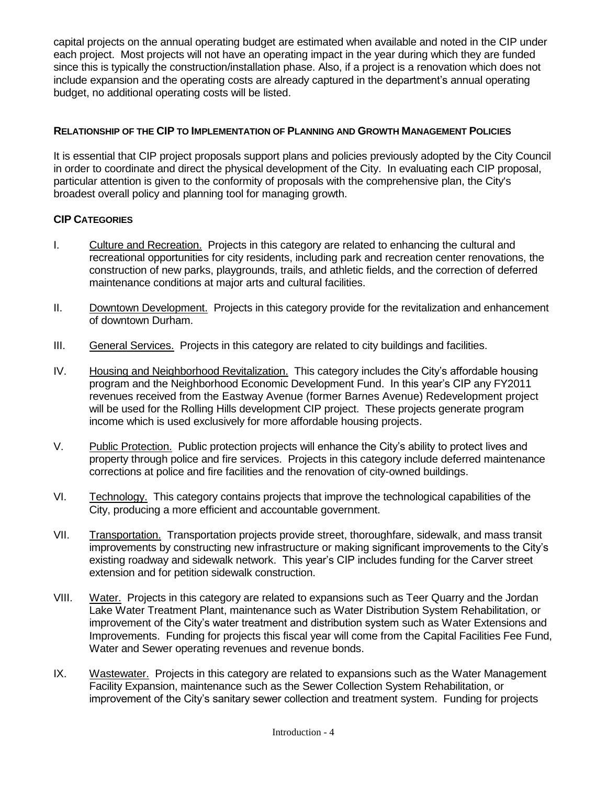capital projects on the annual operating budget are estimated when available and noted in the CIP under each project. Most projects will not have an operating impact in the year during which they are funded since this is typically the construction/installation phase. Also, if a project is a renovation which does not include expansion and the operating costs are already captured in the department's annual operating budget, no additional operating costs will be listed.

## **RELATIONSHIP OF THE CIP TO IMPLEMENTATION OF PLANNING AND GROWTH MANAGEMENT POLICIES**

It is essential that CIP project proposals support plans and policies previously adopted by the City Council in order to coordinate and direct the physical development of the City. In evaluating each CIP proposal, particular attention is given to the conformity of proposals with the comprehensive plan, the City's broadest overall policy and planning tool for managing growth.

## **CIP CATEGORIES**

- I. Culture and Recreation. Projects in this category are related to enhancing the cultural and recreational opportunities for city residents, including park and recreation center renovations, the construction of new parks, playgrounds, trails, and athletic fields, and the correction of deferred maintenance conditions at major arts and cultural facilities.
- II. Downtown Development. Projects in this category provide for the revitalization and enhancement of downtown Durham.
- III. General Services. Projects in this category are related to city buildings and facilities.
- IV. Housing and Neighborhood Revitalization. This category includes the City's affordable housing program and the Neighborhood Economic Development Fund. In this year's CIP any FY2011 revenues received from the Eastway Avenue (former Barnes Avenue) Redevelopment project will be used for the Rolling Hills development CIP project. These projects generate program income which is used exclusively for more affordable housing projects.
- V. Public Protection. Public protection projects will enhance the City's ability to protect lives and property through police and fire services. Projects in this category include deferred maintenance corrections at police and fire facilities and the renovation of city-owned buildings.
- VI. Technology. This category contains projects that improve the technological capabilities of the City, producing a more efficient and accountable government.
- VII. Transportation. Transportation projects provide street, thoroughfare, sidewalk, and mass transit improvements by constructing new infrastructure or making significant improvements to the City's existing roadway and sidewalk network. This year's CIP includes funding for the Carver street extension and for petition sidewalk construction.
- VIII. Water. Projects in this category are related to expansions such as Teer Quarry and the Jordan Lake Water Treatment Plant, maintenance such as Water Distribution System Rehabilitation, or improvement of the City's water treatment and distribution system such as Water Extensions and Improvements. Funding for projects this fiscal year will come from the Capital Facilities Fee Fund, Water and Sewer operating revenues and revenue bonds.
- IX. Wastewater. Projects in this category are related to expansions such as the Water Management Facility Expansion, maintenance such as the Sewer Collection System Rehabilitation, or improvement of the City's sanitary sewer collection and treatment system. Funding for projects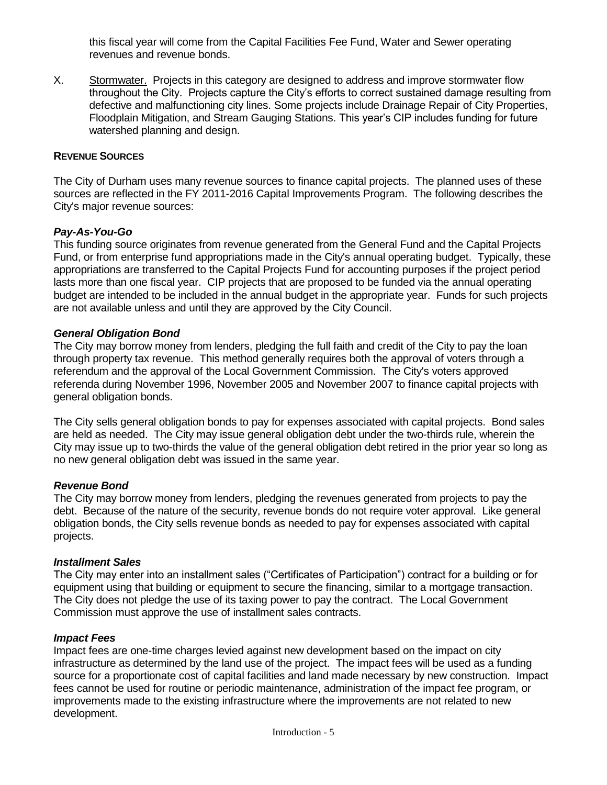this fiscal year will come from the Capital Facilities Fee Fund, Water and Sewer operating revenues and revenue bonds.

X. Stormwater. Projects in this category are designed to address and improve stormwater flow throughout the City. Projects capture the City's efforts to correct sustained damage resulting from defective and malfunctioning city lines. Some projects include Drainage Repair of City Properties, Floodplain Mitigation, and Stream Gauging Stations. This year's CIP includes funding for future watershed planning and design.

#### **REVENUE SOURCES**

The City of Durham uses many revenue sources to finance capital projects. The planned uses of these sources are reflected in the FY 2011-2016 Capital Improvements Program. The following describes the City's major revenue sources:

## *Pay-As-You-Go*

This funding source originates from revenue generated from the General Fund and the Capital Projects Fund, or from enterprise fund appropriations made in the City's annual operating budget. Typically, these appropriations are transferred to the Capital Projects Fund for accounting purposes if the project period lasts more than one fiscal year. CIP projects that are proposed to be funded via the annual operating budget are intended to be included in the annual budget in the appropriate year. Funds for such projects are not available unless and until they are approved by the City Council.

## *General Obligation Bond*

The City may borrow money from lenders, pledging the full faith and credit of the City to pay the loan through property tax revenue. This method generally requires both the approval of voters through a referendum and the approval of the Local Government Commission. The City's voters approved referenda during November 1996, November 2005 and November 2007 to finance capital projects with general obligation bonds.

The City sells general obligation bonds to pay for expenses associated with capital projects. Bond sales are held as needed. The City may issue general obligation debt under the two-thirds rule, wherein the City may issue up to two-thirds the value of the general obligation debt retired in the prior year so long as no new general obligation debt was issued in the same year.

#### *Revenue Bond*

The City may borrow money from lenders, pledging the revenues generated from projects to pay the debt. Because of the nature of the security, revenue bonds do not require voter approval. Like general obligation bonds, the City sells revenue bonds as needed to pay for expenses associated with capital projects.

#### *Installment Sales*

The City may enter into an installment sales ("Certificates of Participation") contract for a building or for equipment using that building or equipment to secure the financing, similar to a mortgage transaction. The City does not pledge the use of its taxing power to pay the contract. The Local Government Commission must approve the use of installment sales contracts.

#### *Impact Fees*

Impact fees are one-time charges levied against new development based on the impact on city infrastructure as determined by the land use of the project. The impact fees will be used as a funding source for a proportionate cost of capital facilities and land made necessary by new construction. Impact fees cannot be used for routine or periodic maintenance, administration of the impact fee program, or improvements made to the existing infrastructure where the improvements are not related to new development.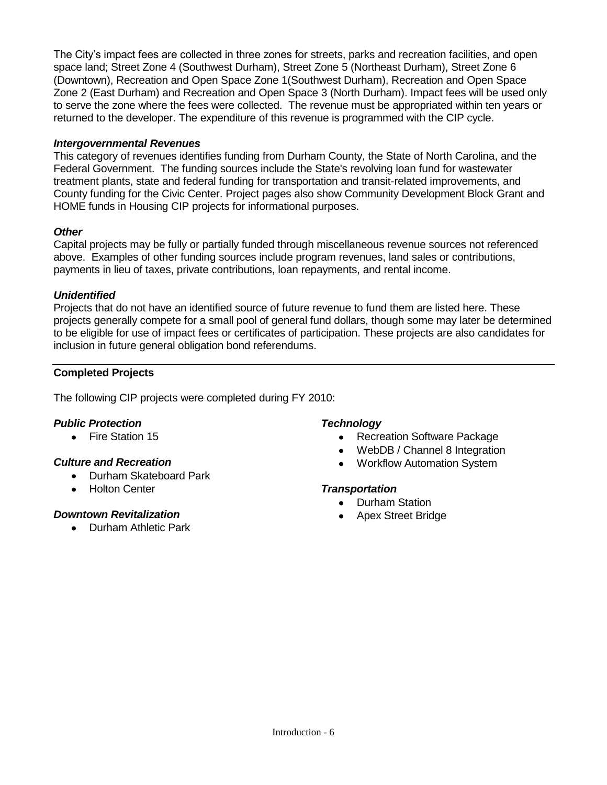The City's impact fees are collected in three zones for streets, parks and recreation facilities, and open space land; Street Zone 4 (Southwest Durham), Street Zone 5 (Northeast Durham), Street Zone 6 (Downtown), Recreation and Open Space Zone 1(Southwest Durham), Recreation and Open Space Zone 2 (East Durham) and Recreation and Open Space 3 (North Durham). Impact fees will be used only to serve the zone where the fees were collected. The revenue must be appropriated within ten years or returned to the developer. The expenditure of this revenue is programmed with the CIP cycle.

## *Intergovernmental Revenues*

This category of revenues identifies funding from Durham County, the State of North Carolina, and the Federal Government. The funding sources include the State's revolving loan fund for wastewater treatment plants, state and federal funding for transportation and transit-related improvements, and County funding for the Civic Center. Project pages also show Community Development Block Grant and HOME funds in Housing CIP projects for informational purposes.

## *Other*

Capital projects may be fully or partially funded through miscellaneous revenue sources not referenced above. Examples of other funding sources include program revenues, land sales or contributions, payments in lieu of taxes, private contributions, loan repayments, and rental income.

## *Unidentified*

Projects that do not have an identified source of future revenue to fund them are listed here. These projects generally compete for a small pool of general fund dollars, though some may later be determined to be eligible for use of impact fees or certificates of participation. These projects are also candidates for inclusion in future general obligation bond referendums.

## **Completed Projects**

The following CIP projects were completed during FY 2010:

## *Public Protection*

• Fire Station 15

## *Culture and Recreation*

- Durham Skateboard Park
- Holton Center

## *Downtown Revitalization*

• Durham Athletic Park

## *Technology*

- Recreation Software Package
- WebDB / Channel 8 Integration
- Workflow Automation System

## *Transportation*

- Durham Station
- Apex Street Bridge